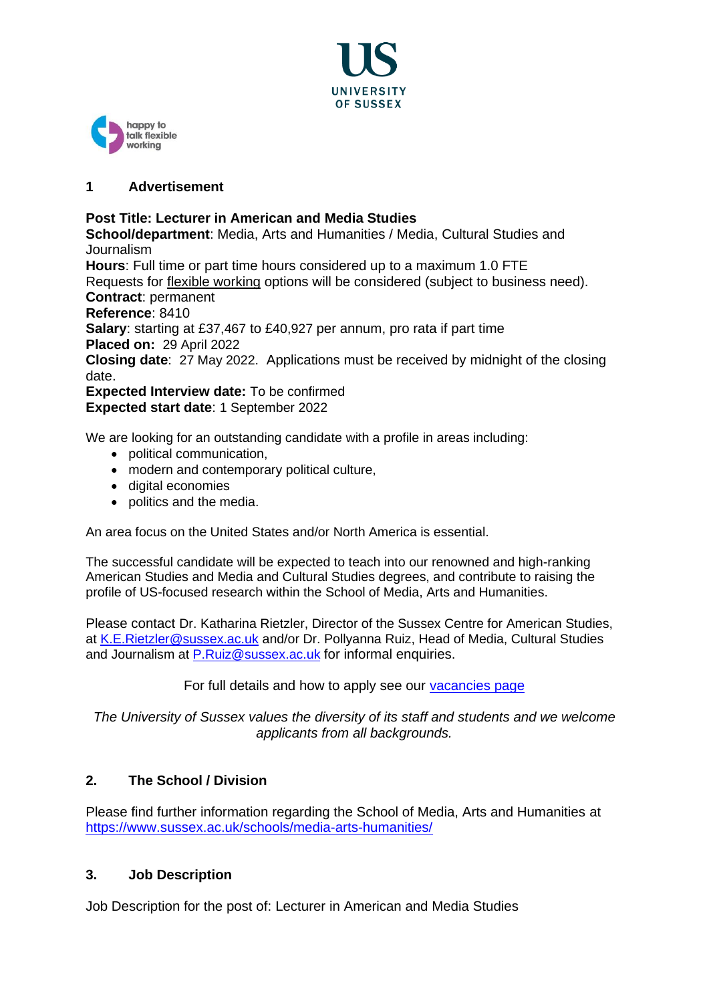



# **1 Advertisement**

# **Post Title: Lecturer in American and Media Studies**

**School/department**: Media, Arts and Humanities / Media, Cultural Studies and Journalism

**Hours**: Full time or part time hours considered up to a maximum 1.0 FTE Requests for [flexible working](http://www.sussex.ac.uk/humanresources/personnel/flexible-working) options will be considered (subject to business need). **Contract**: permanent

**Reference**: 8410

**Salary**: starting at £37,467 to £40,927 per annum, pro rata if part time **Placed on:** 29 April 2022

**Closing date**: 27 May 2022. Applications must be received by midnight of the closing date.

**Expected Interview date:** To be confirmed **Expected start date**: 1 September 2022

We are looking for an outstanding candidate with a profile in areas including:

- political communication,
- modern and contemporary political culture,
- digital economies
- politics and the media.

An area focus on the United States and/or North America is essential.

The successful candidate will be expected to teach into our renowned and high-ranking American Studies and Media and Cultural Studies degrees, and contribute to raising the profile of US-focused research within the School of Media, Arts and Humanities.

Please contact Dr. Katharina Rietzler, Director of the Sussex Centre for American Studies, at [K.E.Rietzler@sussex.ac.uk](mailto:K.E.Rietzler@sussex.ac.uk) and/or Dr. Pollyanna Ruiz, Head of Media, Cultural Studies and Journalism at [P.Ruiz@sussex.ac.uk](mailto:P.Ruiz@sussex.ac.uk) for informal enquiries.

For full details and how to apply see our [vacancies page](http://www.sussex.ac.uk/about/jobs)

*The University of Sussex values the diversity of its staff and students and we welcome applicants from all backgrounds.*

# **2. The School / Division**

Please find further information regarding the School of Media, Arts and Humanities at <https://www.sussex.ac.uk/schools/media-arts-humanities/>

# **3. Job Description**

Job Description for the post of: Lecturer in American and Media Studies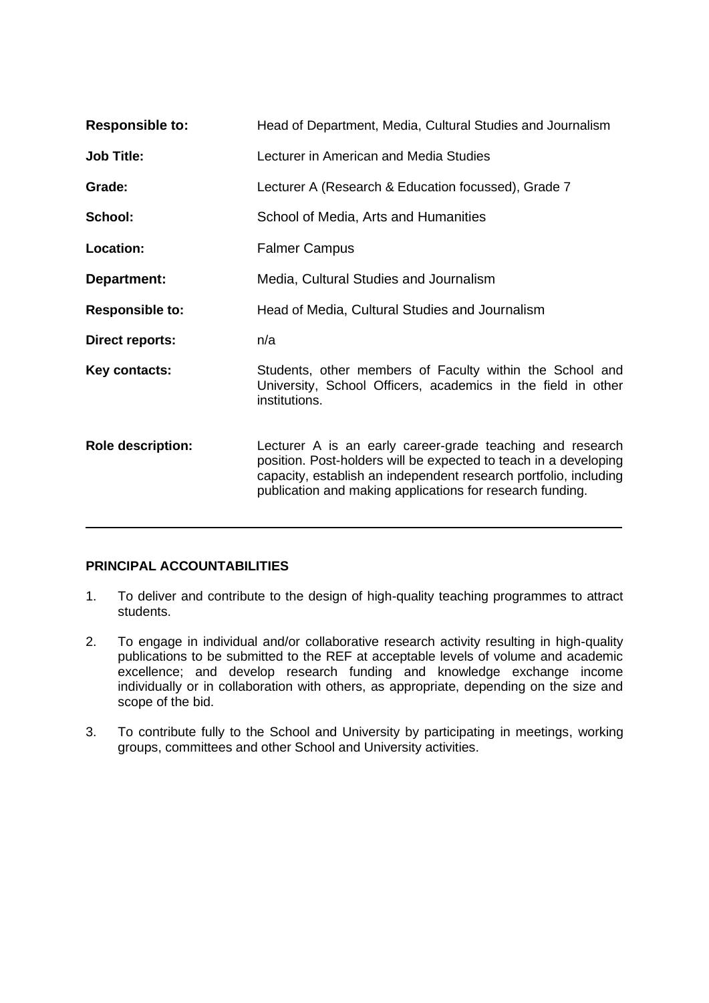| <b>Responsible to:</b>   | Head of Department, Media, Cultural Studies and Journalism                                                                                                                                                                                                     |
|--------------------------|----------------------------------------------------------------------------------------------------------------------------------------------------------------------------------------------------------------------------------------------------------------|
| <b>Job Title:</b>        | Lecturer in American and Media Studies                                                                                                                                                                                                                         |
| Grade:                   | Lecturer A (Research & Education focussed), Grade 7                                                                                                                                                                                                            |
| School:                  | School of Media, Arts and Humanities                                                                                                                                                                                                                           |
| Location:                | <b>Falmer Campus</b>                                                                                                                                                                                                                                           |
| Department:              | Media, Cultural Studies and Journalism                                                                                                                                                                                                                         |
| <b>Responsible to:</b>   | Head of Media, Cultural Studies and Journalism                                                                                                                                                                                                                 |
| <b>Direct reports:</b>   | n/a                                                                                                                                                                                                                                                            |
| Key contacts:            | Students, other members of Faculty within the School and<br>University, School Officers, academics in the field in other<br>institutions.                                                                                                                      |
| <b>Role description:</b> | Lecturer A is an early career-grade teaching and research<br>position. Post-holders will be expected to teach in a developing<br>capacity, establish an independent research portfolio, including<br>publication and making applications for research funding. |

# **PRINCIPAL ACCOUNTABILITIES**

- 1. To deliver and contribute to the design of high-quality teaching programmes to attract students.
- 2. To engage in individual and/or collaborative research activity resulting in high-quality publications to be submitted to the REF at acceptable levels of volume and academic excellence; and develop research funding and knowledge exchange income individually or in collaboration with others, as appropriate, depending on the size and scope of the bid.
- 3. To contribute fully to the School and University by participating in meetings, working groups, committees and other School and University activities.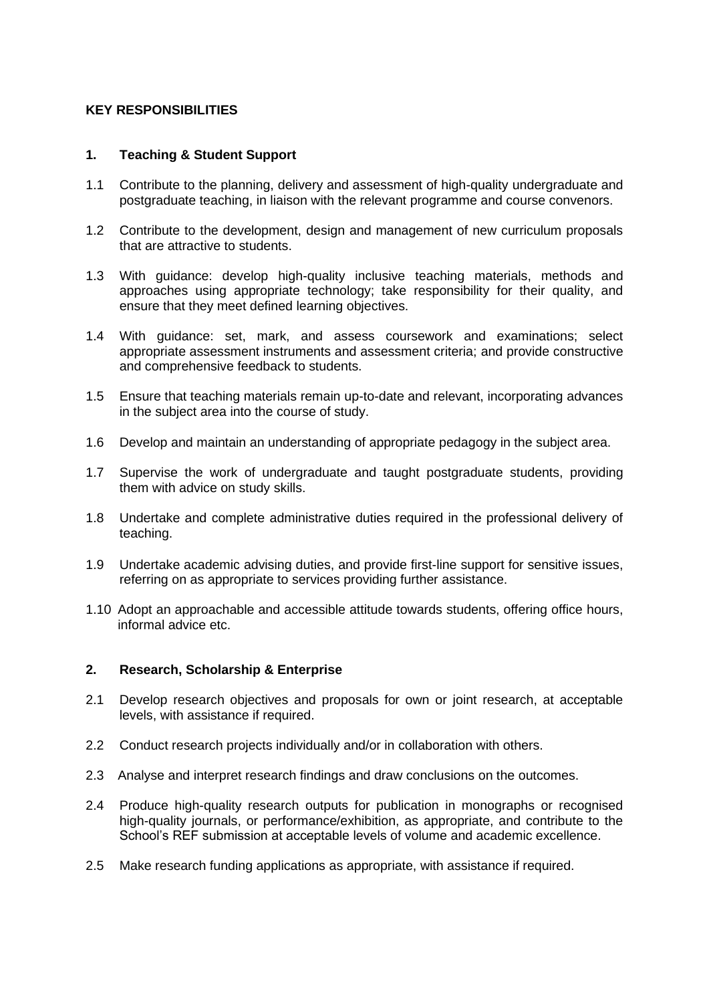# **KEY RESPONSIBILITIES**

## **1. Teaching & Student Support**

- 1.1 Contribute to the planning, delivery and assessment of high-quality undergraduate and postgraduate teaching, in liaison with the relevant programme and course convenors.
- 1.2 Contribute to the development, design and management of new curriculum proposals that are attractive to students.
- 1.3 With guidance: develop high-quality inclusive teaching materials, methods and approaches using appropriate technology; take responsibility for their quality, and ensure that they meet defined learning objectives.
- 1.4 With guidance: set, mark, and assess coursework and examinations; select appropriate assessment instruments and assessment criteria; and provide constructive and comprehensive feedback to students.
- 1.5 Ensure that teaching materials remain up-to-date and relevant, incorporating advances in the subject area into the course of study.
- 1.6 Develop and maintain an understanding of appropriate pedagogy in the subject area.
- 1.7 Supervise the work of undergraduate and taught postgraduate students, providing them with advice on study skills.
- 1.8 Undertake and complete administrative duties required in the professional delivery of teaching.
- 1.9 Undertake academic advising duties, and provide first-line support for sensitive issues, referring on as appropriate to services providing further assistance.
- 1.10 Adopt an approachable and accessible attitude towards students, offering office hours, informal advice etc.

#### **2. Research, Scholarship & Enterprise**

- 2.1 Develop research objectives and proposals for own or joint research, at acceptable levels, with assistance if required.
- 2.2 Conduct research projects individually and/or in collaboration with others.
- 2.3 Analyse and interpret research findings and draw conclusions on the outcomes.
- 2.4 Produce high-quality research outputs for publication in monographs or recognised high-quality journals, or performance/exhibition, as appropriate, and contribute to the School's REF submission at acceptable levels of volume and academic excellence.
- 2.5 Make research funding applications as appropriate, with assistance if required.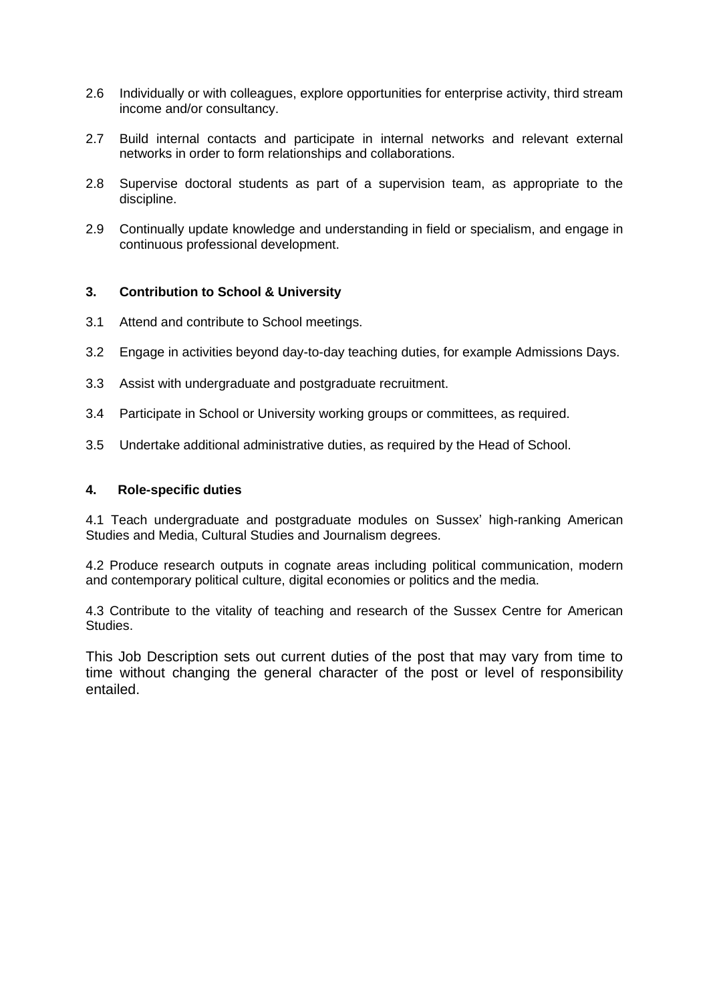- 2.6 Individually or with colleagues, explore opportunities for enterprise activity, third stream income and/or consultancy.
- 2.7 Build internal contacts and participate in internal networks and relevant external networks in order to form relationships and collaborations.
- 2.8 Supervise doctoral students as part of a supervision team, as appropriate to the discipline.
- 2.9 Continually update knowledge and understanding in field or specialism, and engage in continuous professional development.

#### **3. Contribution to School & University**

- 3.1 Attend and contribute to School meetings.
- 3.2 Engage in activities beyond day-to-day teaching duties, for example Admissions Days.
- 3.3 Assist with undergraduate and postgraduate recruitment.
- 3.4 Participate in School or University working groups or committees, as required.
- 3.5 Undertake additional administrative duties, as required by the Head of School.

#### **4. Role-specific duties**

4.1 Teach undergraduate and postgraduate modules on Sussex' high-ranking American Studies and Media, Cultural Studies and Journalism degrees.

4.2 Produce research outputs in cognate areas including political communication, modern and contemporary political culture, digital economies or politics and the media.

4.3 Contribute to the vitality of teaching and research of the Sussex Centre for American Studies.

This Job Description sets out current duties of the post that may vary from time to time without changing the general character of the post or level of responsibility entailed.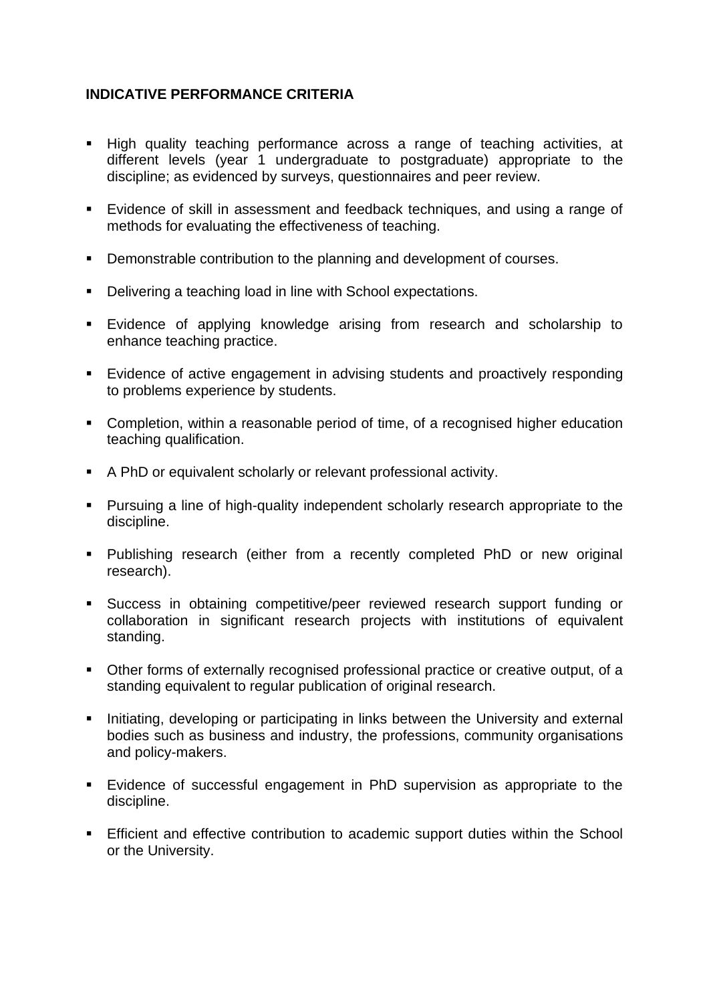# **INDICATIVE PERFORMANCE CRITERIA**

- High quality teaching performance across a range of teaching activities, at different levels (year 1 undergraduate to postgraduate) appropriate to the discipline; as evidenced by surveys, questionnaires and peer review.
- Evidence of skill in assessment and feedback techniques, and using a range of methods for evaluating the effectiveness of teaching.
- Demonstrable contribution to the planning and development of courses.
- Delivering a teaching load in line with School expectations.
- Evidence of applying knowledge arising from research and scholarship to enhance teaching practice.
- Evidence of active engagement in advising students and proactively responding to problems experience by students.
- Completion, within a reasonable period of time, of a recognised higher education teaching qualification.
- A PhD or equivalent scholarly or relevant professional activity.
- Pursuing a line of high-quality independent scholarly research appropriate to the discipline.
- Publishing research (either from a recently completed PhD or new original research).
- Success in obtaining competitive/peer reviewed research support funding or collaboration in significant research projects with institutions of equivalent standing.
- Other forms of externally recognised professional practice or creative output, of a standing equivalent to regular publication of original research.
- **EXEDENT** Initiating, developing or participating in links between the University and external bodies such as business and industry, the professions, community organisations and policy-makers.
- Evidence of successful engagement in PhD supervision as appropriate to the discipline.
- **Efficient and effective contribution to academic support duties within the School** or the University.